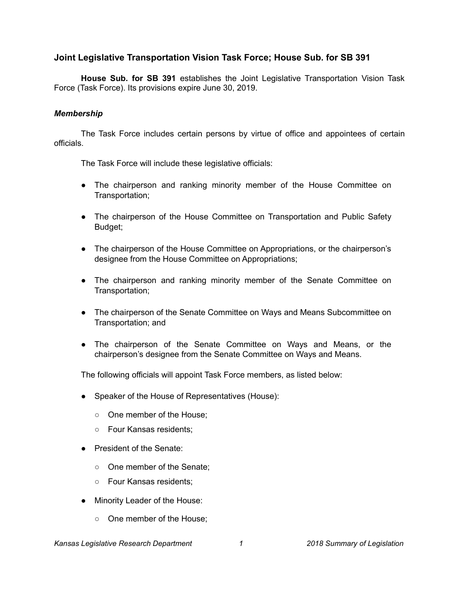# **Joint Legislative Transportation Vision Task Force; House Sub. for SB 391**

**House Sub. for SB 391** establishes the Joint Legislative Transportation Vision Task Force (Task Force). Its provisions expire June 30, 2019.

#### *Membership*

The Task Force includes certain persons by virtue of office and appointees of certain officials.

The Task Force will include these legislative officials:

- The chairperson and ranking minority member of the House Committee on Transportation;
- The chairperson of the House Committee on Transportation and Public Safety Budget;
- The chairperson of the House Committee on Appropriations, or the chairperson's designee from the House Committee on Appropriations;
- The chairperson and ranking minority member of the Senate Committee on Transportation;
- The chairperson of the Senate Committee on Ways and Means Subcommittee on Transportation; and
- The chairperson of the Senate Committee on Ways and Means, or the chairperson's designee from the Senate Committee on Ways and Means.

The following officials will appoint Task Force members, as listed below:

- Speaker of the House of Representatives (House):
	- One member of the House;
	- Four Kansas residents;
- President of the Senate:
	- One member of the Senate:
	- Four Kansas residents;
- Minority Leader of the House:
	- One member of the House;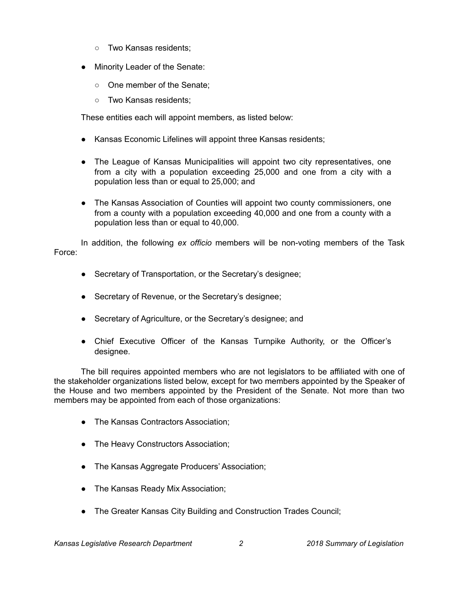- Two Kansas residents;
- Minority Leader of the Senate:
	- One member of the Senate:
	- Two Kansas residents:

These entities each will appoint members, as listed below:

- Kansas Economic Lifelines will appoint three Kansas residents;
- The League of Kansas Municipalities will appoint two city representatives, one from a city with a population exceeding 25,000 and one from a city with a population less than or equal to 25,000; and
- The Kansas Association of Counties will appoint two county commissioners, one from a county with a population exceeding 40,000 and one from a county with a population less than or equal to 40,000.

In addition, the following *ex officio* members will be non-voting members of the Task Force:

- Secretary of Transportation, or the Secretary's designee;
- Secretary of Revenue, or the Secretary's designee;
- Secretary of Agriculture, or the Secretary's designee; and
- Chief Executive Officer of the Kansas Turnpike Authority, or the Officer's designee.

The bill requires appointed members who are not legislators to be affiliated with one of the stakeholder organizations listed below, except for two members appointed by the Speaker of the House and two members appointed by the President of the Senate. Not more than two members may be appointed from each of those organizations:

- The Kansas Contractors Association;
- The Heavy Constructors Association;
- The Kansas Aggregate Producers' Association;
- The Kansas Ready Mix Association;
- The Greater Kansas City Building and Construction Trades Council;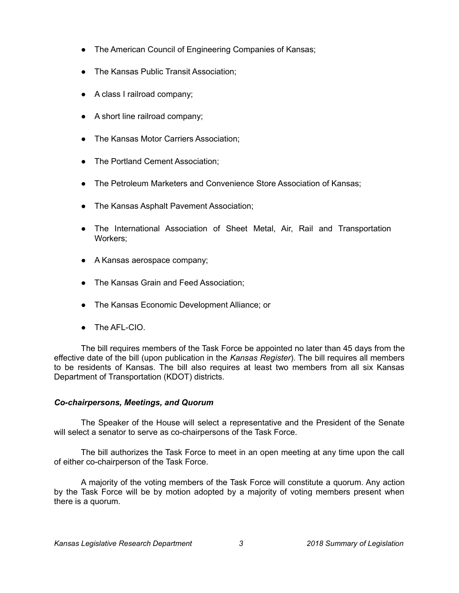- The American Council of Engineering Companies of Kansas;
- The Kansas Public Transit Association;
- A class I railroad company;
- A short line railroad company;
- The Kansas Motor Carriers Association;
- The Portland Cement Association;
- The Petroleum Marketers and Convenience Store Association of Kansas;
- The Kansas Asphalt Pavement Association;
- The International Association of Sheet Metal, Air, Rail and Transportation Workers;
- A Kansas aerospace company;
- The Kansas Grain and Feed Association;
- The Kansas Economic Development Alliance; or
- $\bullet$  The AFI-CIO

The bill requires members of the Task Force be appointed no later than 45 days from the effective date of the bill (upon publication in the *Kansas Register*). The bill requires all members to be residents of Kansas. The bill also requires at least two members from all six Kansas Department of Transportation (KDOT) districts.

# *Co-chairpersons, Meetings, and Quorum*

The Speaker of the House will select a representative and the President of the Senate will select a senator to serve as co-chairpersons of the Task Force.

The bill authorizes the Task Force to meet in an open meeting at any time upon the call of either co-chairperson of the Task Force.

A majority of the voting members of the Task Force will constitute a quorum. Any action by the Task Force will be by motion adopted by a majority of voting members present when there is a quorum.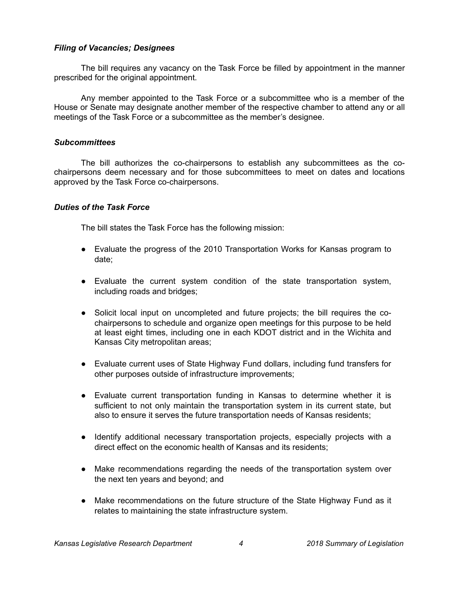## *Filing of Vacancies; Designees*

The bill requires any vacancy on the Task Force be filled by appointment in the manner prescribed for the original appointment.

Any member appointed to the Task Force or a subcommittee who is a member of the House or Senate may designate another member of the respective chamber to attend any or all meetings of the Task Force or a subcommittee as the member's designee.

#### *Subcommittees*

The bill authorizes the co-chairpersons to establish any subcommittees as the cochairpersons deem necessary and for those subcommittees to meet on dates and locations approved by the Task Force co-chairpersons.

### *Duties of the Task Force*

The bill states the Task Force has the following mission:

- Evaluate the progress of the 2010 Transportation Works for Kansas program to date;
- Evaluate the current system condition of the state transportation system, including roads and bridges;
- Solicit local input on uncompleted and future projects; the bill requires the cochairpersons to schedule and organize open meetings for this purpose to be held at least eight times, including one in each KDOT district and in the Wichita and Kansas City metropolitan areas;
- Evaluate current uses of State Highway Fund dollars, including fund transfers for other purposes outside of infrastructure improvements;
- Evaluate current transportation funding in Kansas to determine whether it is sufficient to not only maintain the transportation system in its current state, but also to ensure it serves the future transportation needs of Kansas residents;
- Identify additional necessary transportation projects, especially projects with a direct effect on the economic health of Kansas and its residents;
- Make recommendations regarding the needs of the transportation system over the next ten years and beyond; and
- Make recommendations on the future structure of the State Highway Fund as it relates to maintaining the state infrastructure system.